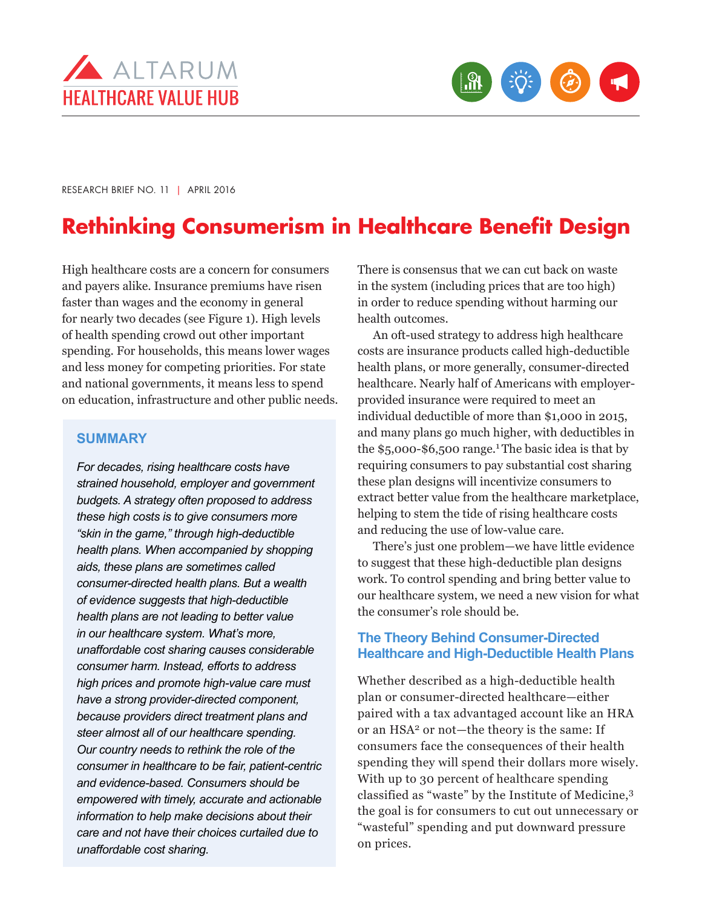



RESEARCH BRIEF NO. 11 | APRIL 2016

# **Rethinking Consumerism in Healthcare Benefit Design**

High healthcare costs are a concern for consumers and payers alike. Insurance premiums have risen faster than wages and the economy in general for nearly two decades (see Figure 1). High levels of health spending crowd out other important spending. For households, this means lower wages and less money for competing priorities. For state and national governments, it means less to spend on education, infrastructure and other public needs.

#### **SUMMARY**

*For decades, rising healthcare costs have strained household, employer and government budgets. A strategy often proposed to address these high costs is to give consumers more "skin in the game," through high-deductible health plans. When accompanied by shopping aids, these plans are sometimes called consumer-directed health plans. But a wealth of evidence suggests that high-deductible health plans are not leading to better value in our healthcare system. What's more, unaffordable cost sharing causes considerable consumer harm. Instead, efforts to address high prices and promote high-value care must have a strong provider-directed component, because providers direct treatment plans and steer almost all of our healthcare spending. Our country needs to rethink the role of the consumer in healthcare to be fair, patient-centric and evidence-based. Consumers should be empowered with timely, accurate and actionable information to help make decisions about their care and not have their choices curtailed due to unaffordable cost sharing.* 

There is consensus that we can cut back on waste in the system (including prices that are too high) in order to reduce spending without harming our health outcomes.

An oft-used strategy to address high healthcare costs are insurance products called high-deductible health plans, or more generally, consumer-directed healthcare. Nearly half of Americans with employerprovided insurance were required to meet an individual deductible of more than \$1,000 in 2015, and many plans go much higher, with deductibles in the  $$5,000-$6,500 range.<sup>1</sup>$  The basic idea is that by requiring consumers to pay substantial cost sharing these plan designs will incentivize consumers to extract better value from the healthcare marketplace, helping to stem the tide of rising healthcare costs and reducing the use of low-value care.

There's just one problem—we have little evidence to suggest that these high-deductible plan designs work. To control spending and bring better value to our healthcare system, we need a new vision for what the consumer's role should be.

### **The Theory Behind Consumer-Directed Healthcare and High-Deductible Health Plans**

Whether described as a high-deductible health plan or consumer-directed healthcare—either paired with a tax advantaged account like an HRA or an HSA2 or not—the theory is the same: If consumers face the consequences of their health spending they will spend their dollars more wisely. With up to 30 percent of healthcare spending classified as "waste" by the Institute of Medicine,<sup>3</sup> the goal is for consumers to cut out unnecessary or "wasteful" spending and put downward pressure on prices.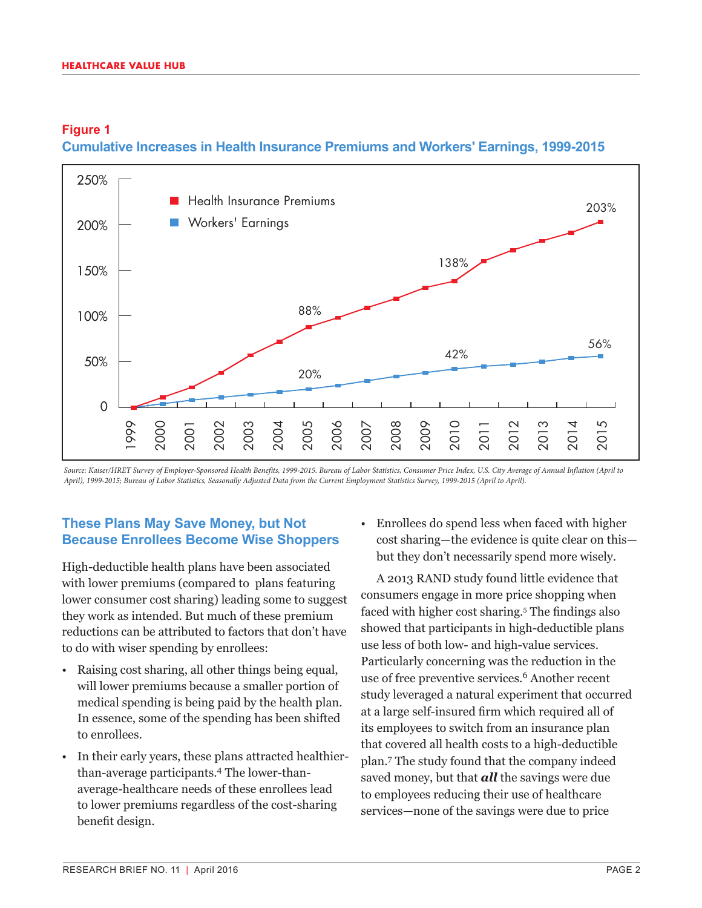### **Figure 1 Cumulative Increases in Health Insurance Premiums and Workers' Earnings, 1999-2015**



*Source: Kaiser/HRET Survey of Employer-Sponsored Health Benefits, 1999-2015. Bureau of Labor Statistics, Consumer Price Index, U.S. City Average of Annual Inflation (April to April), 1999-2015; Bureau of Labor Statistics, Seasonally Adjusted Data from the Current Employment Statistics Survey, 1999-2015 (April to April).*

### **These Plans May Save Money, but Not Because Enrollees Become Wise Shoppers**

High-deductible health plans have been associated with lower premiums (compared to plans featuring lower consumer cost sharing) leading some to suggest they work as intended. But much of these premium reductions can be attributed to factors that don't have to do with wiser spending by enrollees:

- Raising cost sharing, all other things being equal, will lower premiums because a smaller portion of medical spending is being paid by the health plan. In essence, some of the spending has been shifted to enrollees.
- In their early years, these plans attracted healthierthan-average participants.4 The lower-thanaverage-healthcare needs of these enrollees lead to lower premiums regardless of the cost-sharing benefit design.

• Enrollees do spend less when faced with higher cost sharing—the evidence is quite clear on this but they don't necessarily spend more wisely.

A 2013 RAND study found little evidence that consumers engage in more price shopping when faced with higher cost sharing.5 The findings also showed that participants in high-deductible plans use less of both low- and high-value services. Particularly concerning was the reduction in the use of free preventive services.<sup>6</sup> Another recent study leveraged a natural experiment that occurred at a large self-insured firm which required all of its employees to switch from an insurance plan that covered all health costs to a high-deductible plan.7 The study found that the company indeed saved money, but that *all* the savings were due to employees reducing their use of healthcare services—none of the savings were due to price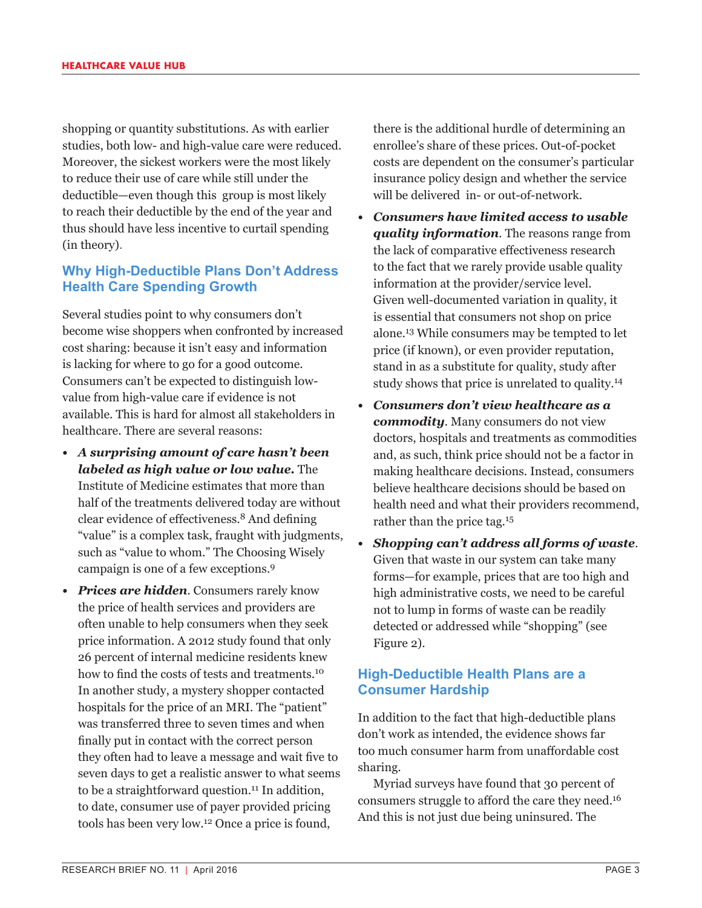shopping or quantity substitutions. As with earlier studies, both low- and high-value care were reduced. Moreover, the sickest workers were the most likely to reduce their use of care while still under the deductible—even though this group is most likely to reach their deductible by the end of the year and thus should have less incentive to curtail spending (in theory).

### **Why High-Deductible Plans Don't Address Health Care Spending Growth**

Several studies point to why consumers don't become wise shoppers when confronted by increased cost sharing: because it isn't easy and information is lacking for where to go for a good outcome. Consumers can't be expected to distinguish lowvalue from high-value care if evidence is not available. This is hard for almost all stakeholders in healthcare. There are several reasons:

- *• A surprising amount of care hasn't been labeled as high value or low value.* The Institute of Medicine estimates that more than half of the treatments delivered today are without clear evidence of effectiveness.8 And defining "value" is a complex task, fraught with judgments, such as "value to whom." The Choosing Wisely campaign is one of a few exceptions.<sup>9</sup>
- *• Prices are hidden.* Consumers rarely know the price of health services and providers are often unable to help consumers when they seek price information. A 2012 study found that only 26 percent of internal medicine residents knew how to find the costs of tests and treatments.<sup>10</sup> In another study, a mystery shopper contacted hospitals for the price of an MRI. The "patient" was transferred three to seven times and when finally put in contact with the correct person they often had to leave a message and wait five to seven days to get a realistic answer to what seems to be a straightforward question.<sup>11</sup> In addition, to date, consumer use of payer provided pricing tools has been very low.12 Once a price is found,

there is the additional hurdle of determining an enrollee's share of these prices. Out-of-pocket costs are dependent on the consumer's particular insurance policy design and whether the service will be delivered in- or out-of-network.

- *• Consumers have limited access to usable quality information.* The reasons range from the lack of comparative effectiveness research to the fact that we rarely provide usable quality information at the provider/service level. Given well-documented variation in quality, it is essential that consumers not shop on price alone.13 While consumers may be tempted to let price (if known), or even provider reputation, stand in as a substitute for quality, study after study shows that price is unrelated to quality.<sup>14</sup>
- *• Consumers don't view healthcare as a commodity.* Many consumers do not view doctors, hospitals and treatments as commodities and, as such, think price should not be a factor in making healthcare decisions. Instead, consumers believe healthcare decisions should be based on health need and what their providers recommend, rather than the price tag.<sup>15</sup>
- *• Shopping can't address all forms of waste.*  Given that waste in our system can take many forms—for example, prices that are too high and high administrative costs, we need to be careful not to lump in forms of waste can be readily detected or addressed while "shopping" (see Figure 2).

### **High-Deductible Health Plans are a Consumer Hardship**

In addition to the fact that high-deductible plans don't work as intended, the evidence shows far too much consumer harm from unaffordable cost sharing.

Myriad surveys have found that 30 percent of consumers struggle to afford the care they need.<sup>16</sup> And this is not just due being uninsured. The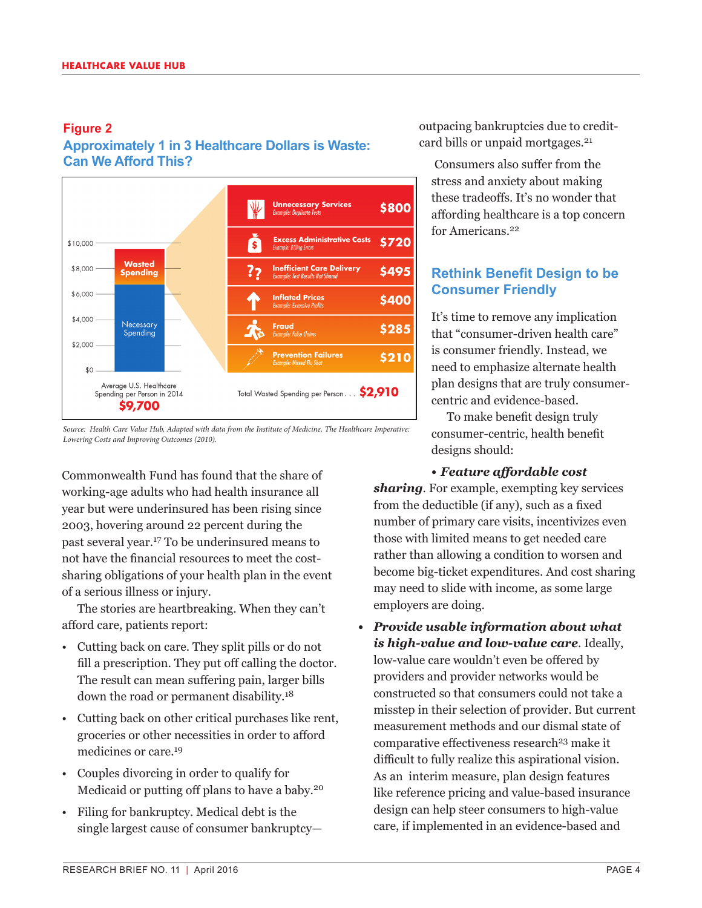### **Figure 2 Approximately 1 in 3 Healthcare Dollars is Waste: Can We Afford This?**



*Source: Health Care Value Hub, Adapted with data from the Institute of Medicine, The Healthcare Imperative: Lowering Costs and Improving Outcomes (2010).*

Commonwealth Fund has found that the share of working-age adults who had health insurance all year but were underinsured has been rising since 2003, hovering around 22 percent during the past several year.17 To be underinsured means to not have the financial resources to meet the costsharing obligations of your health plan in the event of a serious illness or injury.

The stories are heartbreaking. When they can't afford care, patients report:

- Cutting back on care. They split pills or do not fill a prescription. They put off calling the doctor. The result can mean suffering pain, larger bills down the road or permanent disability.<sup>18</sup>
- Cutting back on other critical purchases like rent, groceries or other necessities in order to afford medicines or care.<sup>19</sup>
- Couples divorcing in order to qualify for Medicaid or putting off plans to have a baby.<sup>20</sup>
- Filing for bankruptcy. Medical debt is the single largest cause of consumer bankruptcy—

outpacing bankruptcies due to creditcard bills or unpaid mortgages.<sup>21</sup>

Consumers also suffer from the stress and anxiety about making these tradeoffs. It's no wonder that affording healthcare is a top concern for Americans.22

## **Rethink Benefit Design to be Consumer Friendly**

It's time to remove any implication that "consumer-driven health care" is consumer friendly. Instead, we need to emphasize alternate health plan designs that are truly consumercentric and evidence-based.

To make benefit design truly consumer-centric, health benefit designs should:

### *• Feature affordable cost*

*sharing*. For example, exempting key services from the deductible (if any), such as a fixed number of primary care visits, incentivizes even those with limited means to get needed care rather than allowing a condition to worsen and become big-ticket expenditures. And cost sharing may need to slide with income, as some large employers are doing.

*• Provide usable information about what is high-value and low-value care*. Ideally, low-value care wouldn't even be offered by providers and provider networks would be constructed so that consumers could not take a misstep in their selection of provider. But current measurement methods and our dismal state of comparative effectiveness research<sup>23</sup> make it difficult to fully realize this aspirational vision. As an interim measure, plan design features like reference pricing and value-based insurance design can help steer consumers to high-value care, if implemented in an evidence-based and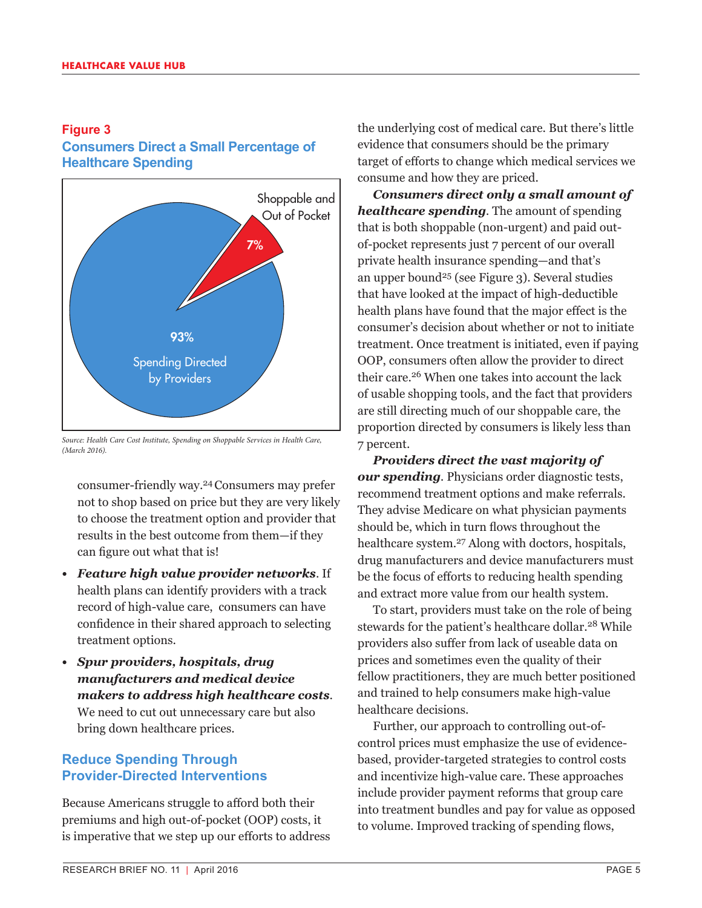### **Figure 3 Consumers Direct a Small Percentage of Healthcare Spending**



*Source: Health Care Cost Institute, Spending on Shoppable Services in Health Care, (March 2016).*

consumer-friendly way.24Consumers may prefer not to shop based on price but they are very likely to choose the treatment option and provider that results in the best outcome from them—if they can figure out what that is!

- *• Feature high value provider networks*. If health plans can identify providers with a track record of high-value care, consumers can have confidence in their shared approach to selecting treatment options.
- *• Spur providers, hospitals, drug manufacturers and medical device makers to address high healthcare costs*. We need to cut out unnecessary care but also bring down healthcare prices.

### **Reduce Spending Through Provider-Directed Interventions**

Because Americans struggle to afford both their premiums and high out-of-pocket (OOP) costs, it is imperative that we step up our efforts to address the underlying cost of medical care. But there's little evidence that consumers should be the primary target of efforts to change which medical services we consume and how they are priced.

*Consumers direct only a small amount of healthcare spending.* The amount of spending that is both shoppable (non-urgent) and paid outof-pocket represents just 7 percent of our overall private health insurance spending—and that's an upper bound<sup>25</sup> (see Figure 3). Several studies that have looked at the impact of high-deductible health plans have found that the major effect is the consumer's decision about whether or not to initiate treatment. Once treatment is initiated, even if paying OOP, consumers often allow the provider to direct their care.26 When one takes into account the lack of usable shopping tools, and the fact that providers are still directing much of our shoppable care, the proportion directed by consumers is likely less than 7 percent.

*Providers direct the vast majority of our spending.* Physicians order diagnostic tests, recommend treatment options and make referrals. They advise Medicare on what physician payments should be, which in turn flows throughout the healthcare system.27 Along with doctors, hospitals, drug manufacturers and device manufacturers must be the focus of efforts to reducing health spending and extract more value from our health system.

To start, providers must take on the role of being stewards for the patient's healthcare dollar.<sup>28</sup> While providers also suffer from lack of useable data on prices and sometimes even the quality of their fellow practitioners, they are much better positioned and trained to help consumers make high-value healthcare decisions.

Further, our approach to controlling out-ofcontrol prices must emphasize the use of evidencebased, provider-targeted strategies to control costs and incentivize high-value care. These approaches include provider payment reforms that group care into treatment bundles and pay for value as opposed to volume. Improved tracking of spending flows,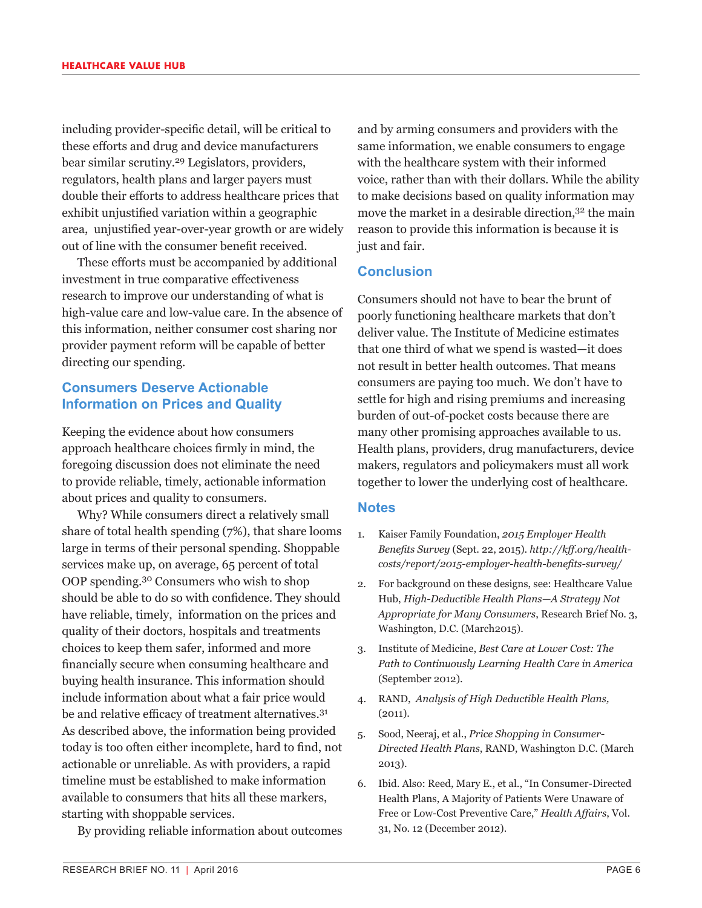including provider-specific detail, will be critical to these efforts and drug and device manufacturers bear similar scrutiny.29 Legislators, providers, regulators, health plans and larger payers must double their efforts to address healthcare prices that exhibit unjustified variation within a geographic area, unjustified year-over-year growth or are widely out of line with the consumer benefit received.

These efforts must be accompanied by additional investment in true comparative effectiveness research to improve our understanding of what is high-value care and low-value care. In the absence of this information, neither consumer cost sharing nor provider payment reform will be capable of better directing our spending.

### **Consumers Deserve Actionable Information on Prices and Quality**

Keeping the evidence about how consumers approach healthcare choices firmly in mind, the foregoing discussion does not eliminate the need to provide reliable, timely, actionable information about prices and quality to consumers.

Why? While consumers direct a relatively small share of total health spending (7%), that share looms large in terms of their personal spending. Shoppable services make up, on average, 65 percent of total OOP spending.30 Consumers who wish to shop should be able to do so with confidence. They should have reliable, timely, information on the prices and quality of their doctors, hospitals and treatments choices to keep them safer, informed and more financially secure when consuming healthcare and buying health insurance. This information should include information about what a fair price would be and relative efficacy of treatment alternatives.<sup>31</sup> As described above, the information being provided today is too often either incomplete, hard to find, not actionable or unreliable. As with providers, a rapid timeline must be established to make information available to consumers that hits all these markers, starting with shoppable services.

By providing reliable information about outcomes

and by arming consumers and providers with the same information, we enable consumers to engage with the healthcare system with their informed voice, rather than with their dollars. While the ability to make decisions based on quality information may move the market in a desirable direction,<sup>32</sup> the main reason to provide this information is because it is just and fair.

### **Conclusion**

Consumers should not have to bear the brunt of poorly functioning healthcare markets that don't deliver value. The Institute of Medicine estimates that one third of what we spend is wasted—it does not result in better health outcomes. That means consumers are paying too much. We don't have to settle for high and rising premiums and increasing burden of out-of-pocket costs because there are many other promising approaches available to us. Health plans, providers, drug manufacturers, device makers, regulators and policymakers must all work together to lower the underlying cost of healthcare.

### **Notes**

- 1. Kaiser Family Foundation, *2015 Employer Health Benefits Survey* (Sept. 22, 2015). *http://kff.org/healthcosts/report/2015-employer-health-benefits-survey/*
- 2. For background on these designs, see: Healthcare Value Hub, *High-Deductible Health Plans—A Strategy Not Appropriate for Many Consumers*, Research Brief No. 3, Washington, D.C. (March2015).
- 3. Institute of Medicine, *Best Care at Lower Cost: The Path to Continuously Learning Health Care in America* (September 2012).
- 4. RAND, *Analysis of High Deductible Health Plans,* (2011).
- 5. Sood, Neeraj, et al., *Price Shopping in Consumer-Directed Health Plans*, RAND, Washington D.C. (March 2013).
- 6. Ibid. Also: Reed, Mary E., et al., "In Consumer-Directed Health Plans, A Majority of Patients Were Unaware of Free or Low-Cost Preventive Care," *Health Affairs*, Vol. 31, No. 12 (December 2012).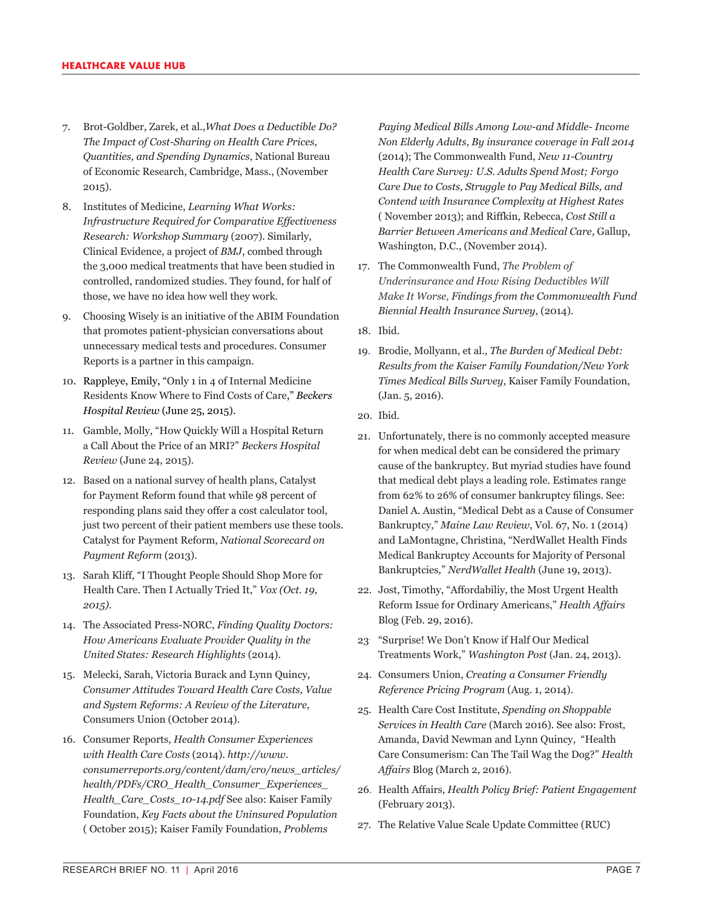- 7. Brot-Goldber, Zarek, et al.,*What Does a Deductible Do? The Impact of Cost-Sharing on Health Care Prices, Quantities, and Spending Dynamics*, National Bureau of Economic Research, Cambridge, Mass., (November 2015).
- 8. Institutes of Medicine, *Learning What Works: Infrastructure Required for Comparative Effectiveness Research: Workshop Summary* (2007)*.* Similarly, Clinical Evidence, a project of *BMJ*, combed through the 3,000 medical treatments that have been studied in controlled, randomized studies. They found, for half of those, we have no idea how well they work.
- 9. Choosing Wisely is an initiative of the ABIM Foundation that promotes patient-physician conversations about unnecessary medical tests and procedures. Consumer Reports is a partner in this campaign.
- 10. Rappleye, Emily, "Only 1 in 4 of Internal Medicine Residents Know Where to Find Costs of Care," *Beckers Hospital Review* (June 25, 2015).
- 11. Gamble, Molly, "How Quickly Will a Hospital Return a Call About the Price of an MRI?" *Beckers Hospital Review* (June 24, 2015).
- 12. Based on a national survey of health plans, Catalyst for Payment Reform found that while 98 percent of responding plans said they offer a cost calculator tool, just two percent of their patient members use these tools. Catalyst for Payment Reform, *National Scorecard on Payment Reform* (2013).
- 13. Sarah Kliff, "I Thought People Should Shop More for Health Care. Then I Actually Tried It," *Vox (Oct. 19, 2015).*
- 14. The Associated Press-NORC, *Finding Quality Doctors: How Americans Evaluate Provider Quality in the United States: Research Highlights* (2014).
- 15. Melecki, Sarah, Victoria Burack and Lynn Quincy, *Consumer Attitudes Toward Health Care Costs, Value and System Reforms: A Review of the Literature*, Consumers Union (October 2014).
- 16. Consumer Reports, *Health Consumer Experiences with Health Care Costs* (2014). *http://www. consumerreports.org/content/dam/cro/news\_articles/ health/PDFs/CRO\_Health\_Consumer\_Experiences\_ Health\_Care\_Costs\_10-14.pdf* See also: Kaiser Family Foundation, *Key Facts about the Uninsured Population* ( October 2015); Kaiser Family Foundation, *Problems*

*Paying Medical Bills Among Low-and Middle- Income Non Elderly Adults, By insurance coverage in Fall 2014* (2014); The Commonwealth Fund, *New 11-Country Health Care Survey: U.S. Adults Spend Most; Forgo Care Due to Costs, Struggle to Pay Medical Bills, and Contend with Insurance Complexity at Highest Rates*  ( November 2013); and Riffkin, Rebecca, *Cost Still a Barrier Between Americans and Medical Care*, Gallup, Washington, D.C., (November 2014).

- 17. The Commonwealth Fund, *The Problem of Underinsurance and How Rising Deductibles Will Make It Worse, Findings from the Commonwealth Fund Biennial Health Insurance Survey*, (2014).
- 18. Ibid.
- 19. Brodie, Mollyann, et al., *The Burden of Medical Debt: Results from the Kaiser Family Foundation/New York Times Medical Bills Survey*, Kaiser Family Foundation, (Jan. 5, 2016).
- 20. Ibid.
- 21. Unfortunately, there is no commonly accepted measure for when medical debt can be considered the primary cause of the bankruptcy. But myriad studies have found that medical debt plays a leading role. Estimates range from 62% to 26% of consumer bankruptcy filings. See: Daniel A. Austin, "Medical Debt as a Cause of Consumer Bankruptcy," *Maine Law Review*, Vol. 67, No. 1 (2014) and LaMontagne, Christina, "NerdWallet Health Finds Medical Bankruptcy Accounts for Majority of Personal Bankruptcies*,*" *NerdWallet Health* (June 19, 2013).
- 22. Jost, Timothy, "Affordabiliy, the Most Urgent Health Reform Issue for Ordinary Americans," *Health Affairs* Blog (Feb. 29, 2016).
- 23. "Surprise! We Don't Know if Half Our Medical Treatments Work," *Washington Post* (Jan. 24, 2013).
- 24. Consumers Union, *Creating a Consumer Friendly Reference Pricing Program* (Aug. 1, 2014).
- 25. Health Care Cost Institute, *Spending on Shoppable Services in Health Care* (March 2016). See also: Frost, Amanda, David Newman and Lynn Quincy, "Health Care Consumerism: Can The Tail Wag the Dog?" *Health Affairs* Blog (March 2, 2016).
- 26. Health Affairs, *Health Policy Brief: Patient Engagement* (February 2013).
- 27. The Relative Value Scale Update Committee (RUC)